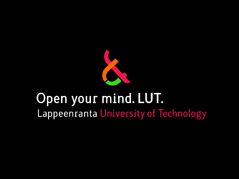

# Open your mind. LUT. Lappeenranta University of Technology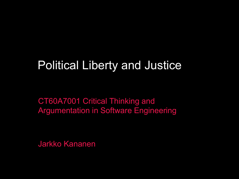## Political Liberty and Justice

CT60A7001 Critical Thinking and Argumentation in Software Engineering

Jarkko Kananen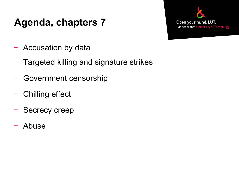### **Agenda, chapters 7**



- − Accusation by data
- − Targeted killing and signature strikes
- − Government censorship
- − Chilling effect
- − Secrecy creep
- − Abuse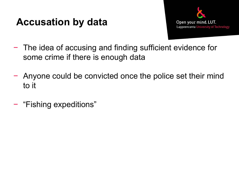### **Accusation by data**



- − The idea of accusing and finding sufficient evidence for some crime if there is enough data
- − Anyone could be convicted once the police set their mind to it
- − "Fishing expeditions"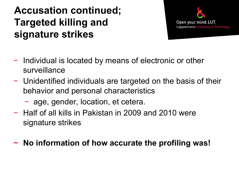### **Accusation continued; Targeted killing and signature strikes**



- − Individual is located by means of electronic or other surveillance
- − Unidentified individuals are targeted on the basis of their behavior and personal characteristics
	- − age, gender, location, et cetera.
- − Half of all kills in Pakistan in 2009 and 2010 were signature strikes

#### **− No information of how accurate the profiling was!**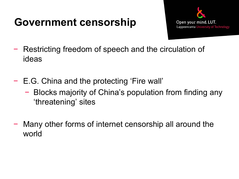### **Government censorship**



- − Restricting freedom of speech and the circulation of ideas
- − E.G. China and the protecting 'Fire wall'
	- − Blocks majority of China's population from finding any 'threatening' sites
- − Many other forms of internet censorship all around the world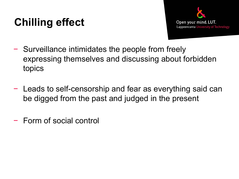## **Chilling effect**



- − Surveillance intimidates the people from freely expressing themselves and discussing about forbidden topics
- − Leads to self-censorship and fear as everything said can be digged from the past and judged in the present
- − Form of social control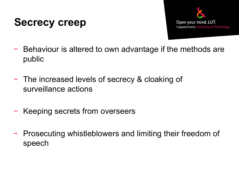### **Secrecy creep**



- − Behaviour is altered to own advantage if the methods are public
- − The increased levels of secrecy & cloaking of surveillance actions
- − Keeping secrets from overseers
- − Prosecuting whistleblowers and limiting their freedom of speech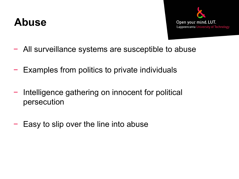### **Abuse**



- − All surveillance systems are susceptible to abuse
- − Examples from politics to private individuals
- − Intelligence gathering on innocent for political persecution
- − Easy to slip over the line into abuse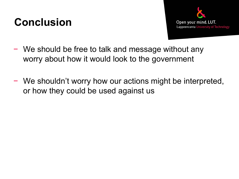## **Conclusion**



- − We should be free to talk and message without any worry about how it would look to the government
- − We shouldn't worry how our actions might be interpreted, or how they could be used against us